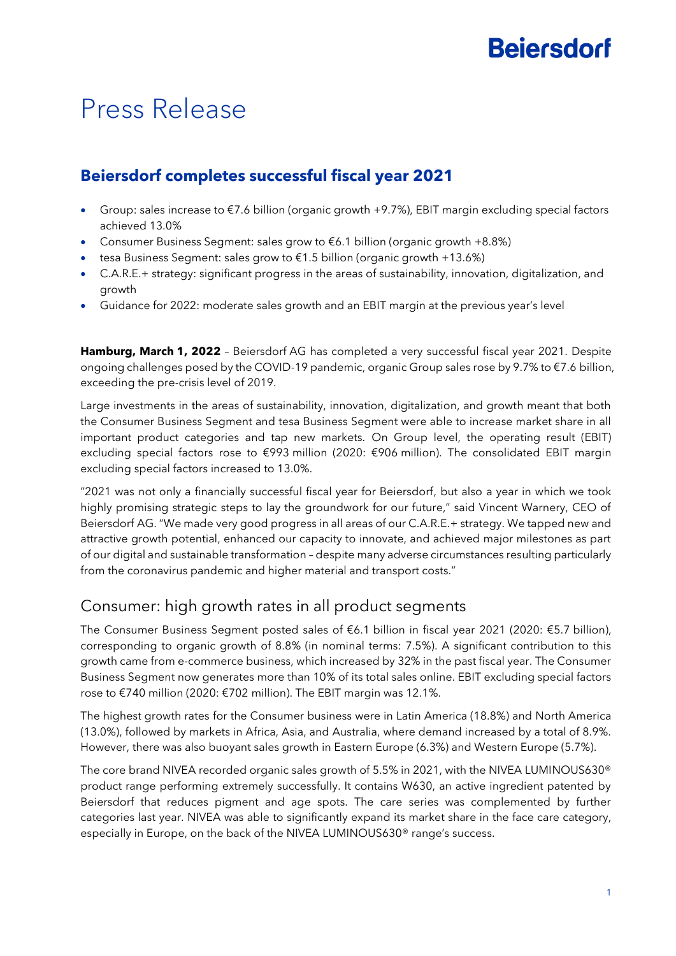## Press Release

### **Beiersdorf completes successful fiscal year 2021**

- Group: sales increase to €7.6 billion (organic growth +9.7%), EBIT margin excluding special factors achieved 13.0%
- Consumer Business Segment: sales grow to  $\epsilon$ 6.1 billion (organic growth +8.8%)
- tesa Business Segment: sales grow to €1.5 billion (organic growth +13.6%)
- C.A.R.E.+ strategy: significant progress in the areas of sustainability, innovation, digitalization, and growth
- Guidance for 2022: moderate sales growth and an EBIT margin at the previous year's level

**Hamburg, March 1, 2022** – Beiersdorf AG has completed a very successful fiscal year 2021. Despite ongoing challenges posed by the COVID-19 pandemic, organic Group sales rose by 9.7% to €7.6 billion, exceeding the pre-crisis level of 2019.

Large investments in the areas of sustainability, innovation, digitalization, and growth meant that both the Consumer Business Segment and tesa Business Segment were able to increase market share in all important product categories and tap new markets. On Group level, the operating result (EBIT) excluding special factors rose to €993 million (2020: €906 million). The consolidated EBIT margin excluding special factors increased to 13.0%.

"2021 was not only a financially successful fiscal year for Beiersdorf, but also a year in which we took highly promising strategic steps to lay the groundwork for our future," said Vincent Warnery, CEO of Beiersdorf AG. "We made very good progress in all areas of our C.A.R.E.+ strategy. We tapped new and attractive growth potential, enhanced our capacity to innovate, and achieved major milestones as part of our digital and sustainable transformation – despite many adverse circumstances resulting particularly from the coronavirus pandemic and higher material and transport costs."

#### Consumer: high growth rates in all product segments

The Consumer Business Segment posted sales of €6.1 billion in fiscal year 2021 (2020: €5.7 billion), corresponding to organic growth of 8.8% (in nominal terms: 7.5%). A significant contribution to this growth came from e-commerce business, which increased by 32% in the past fiscal year. The Consumer Business Segment now generates more than 10% of its total sales online. EBIT excluding special factors rose to €740 million (2020: €702 million). The EBIT margin was 12.1%.

The highest growth rates for the Consumer business were in Latin America (18.8%) and North America (13.0%), followed by markets in Africa, Asia, and Australia, where demand increased by a total of 8.9%. However, there was also buoyant sales growth in Eastern Europe (6.3%) and Western Europe (5.7%).

The core brand NIVEA recorded organic sales growth of 5.5% in 2021, with the NIVEA LUMINOUS630® product range performing extremely successfully. It contains W630, an active ingredient patented by Beiersdorf that reduces pigment and age spots. The care series was complemented by further categories last year. NIVEA was able to significantly expand its market share in the face care category, especially in Europe, on the back of the NIVEA LUMINOUS630® range's success.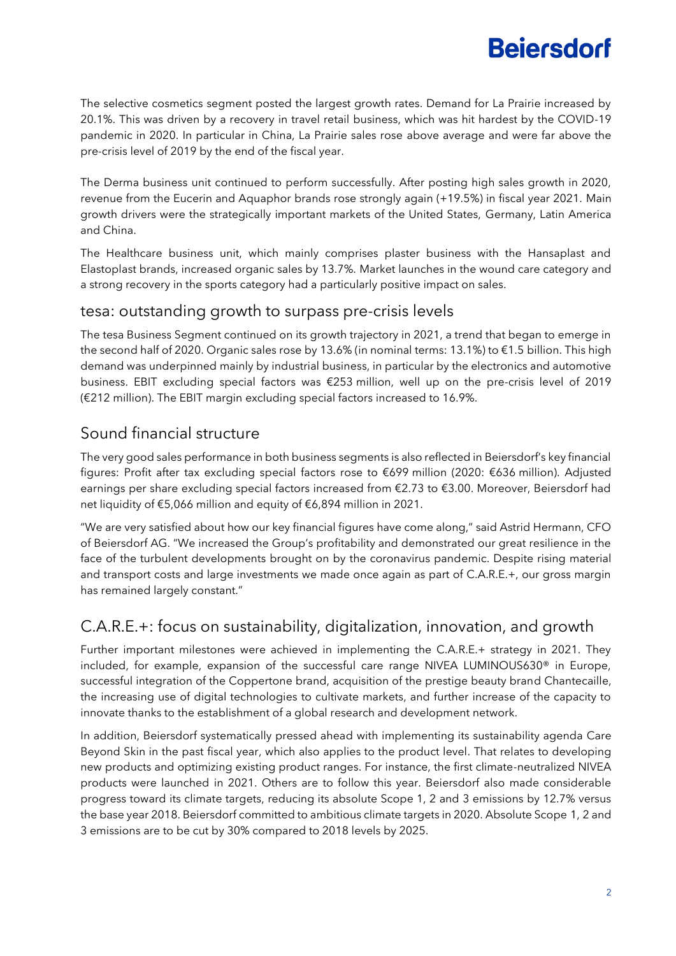The selective cosmetics segment posted the largest growth rates. Demand for La Prairie increased by 20.1%. This was driven by a recovery in travel retail business, which was hit hardest by the COVID-19 pandemic in 2020. In particular in China, La Prairie sales rose above average and were far above the pre-crisis level of 2019 by the end of the fiscal year.

The Derma business unit continued to perform successfully. After posting high sales growth in 2020, revenue from the Eucerin and Aquaphor brands rose strongly again (+19.5%) in fiscal year 2021. Main growth drivers were the strategically important markets of the United States, Germany, Latin America and China.

The Healthcare business unit, which mainly comprises plaster business with the Hansaplast and Elastoplast brands, increased organic sales by 13.7%. Market launches in the wound care category and a strong recovery in the sports category had a particularly positive impact on sales.

#### tesa: outstanding growth to surpass pre-crisis levels

The tesa Business Segment continued on its growth trajectory in 2021, a trend that began to emerge in the second half of 2020. Organic sales rose by 13.6% (in nominal terms: 13.1%) to €1.5 billion. This high demand was underpinned mainly by industrial business, in particular by the electronics and automotive business. EBIT excluding special factors was €253 million, well up on the pre-crisis level of 2019 (€212 million). The EBIT margin excluding special factors increased to 16.9%.

### Sound financial structure

The very good sales performance in both business segments is also reflected in Beiersdorf's key financial figures: Profit after tax excluding special factors rose to €699 million (2020: €636 million). Adjusted earnings per share excluding special factors increased from €2.73 to €3.00. Moreover, Beiersdorf had net liquidity of €5,066 million and equity of €6,894 million in 2021.

"We are very satisfied about how our key financial figures have come along," said Astrid Hermann, CFO of Beiersdorf AG. "We increased the Group's profitability and demonstrated our great resilience in the face of the turbulent developments brought on by the coronavirus pandemic. Despite rising material and transport costs and large investments we made once again as part of C.A.R.E.+, our gross margin has remained largely constant."

### C.A.R.E.+: focus on sustainability, digitalization, innovation, and growth

Further important milestones were achieved in implementing the C.A.R.E.+ strategy in 2021. They included, for example, expansion of the successful care range NIVEA LUMINOUS630® in Europe, successful integration of the Coppertone brand, acquisition of the prestige beauty brand Chantecaille, the increasing use of digital technologies to cultivate markets, and further increase of the capacity to innovate thanks to the establishment of a global research and development network.

In addition, Beiersdorf systematically pressed ahead with implementing its sustainability agenda Care Beyond Skin in the past fiscal year, which also applies to the product level. That relates to developing new products and optimizing existing product ranges. For instance, the first climate-neutralized NIVEA products were launched in 2021. Others are to follow this year. Beiersdorf also made considerable progress toward its climate targets, reducing its absolute Scope 1, 2 and 3 emissions by 12.7% versus the base year 2018. Beiersdorf committed to ambitious climate targets in 2020. Absolute Scope 1, 2 and 3 emissions are to be cut by 30% compared to 2018 levels by 2025.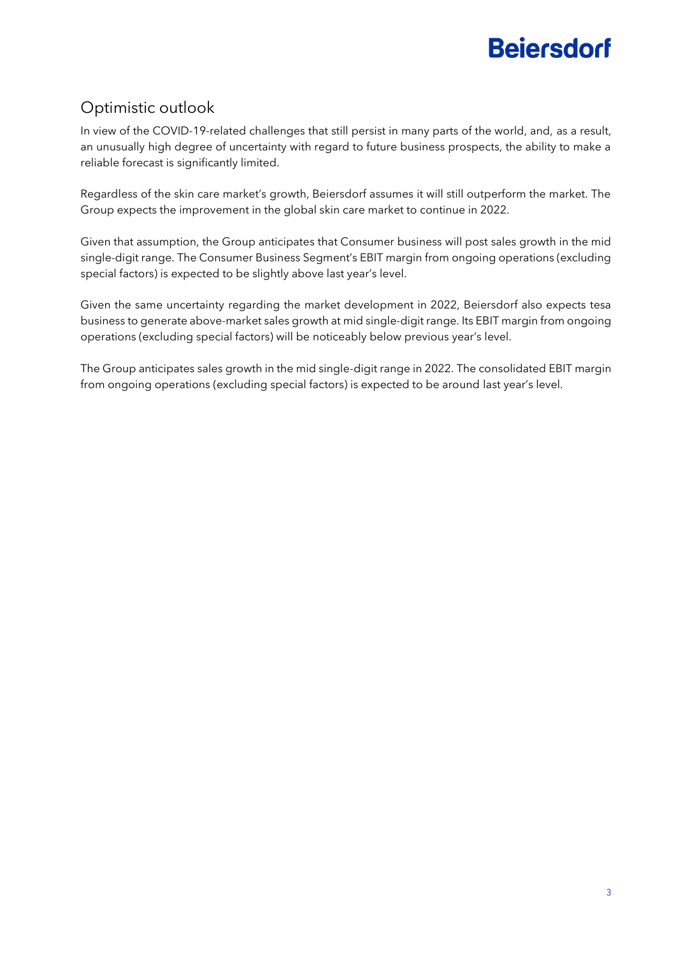### Optimistic outlook

In view of the COVID-19-related challenges that still persist in many parts of the world, and, as a result, an unusually high degree of uncertainty with regard to future business prospects, the ability to make a reliable forecast is significantly limited.

Regardless of the skin care market's growth, Beiersdorf assumes it will still outperform the market. The Group expects the improvement in the global skin care market to continue in 2022.

Given that assumption, the Group anticipates that Consumer business will post sales growth in the mid single-digit range. The Consumer Business Segment's EBIT margin from ongoing operations (excluding special factors) is expected to be slightly above last year's level.

Given the same uncertainty regarding the market development in 2022, Beiersdorf also expects tesa business to generate above-market sales growth at mid single-digit range. Its EBIT margin from ongoing operations (excluding special factors) will be noticeably below previous year's level.

The Group anticipates sales growth in the mid single-digit range in 2022. The consolidated EBIT margin from ongoing operations (excluding special factors) is expected to be around last year's level.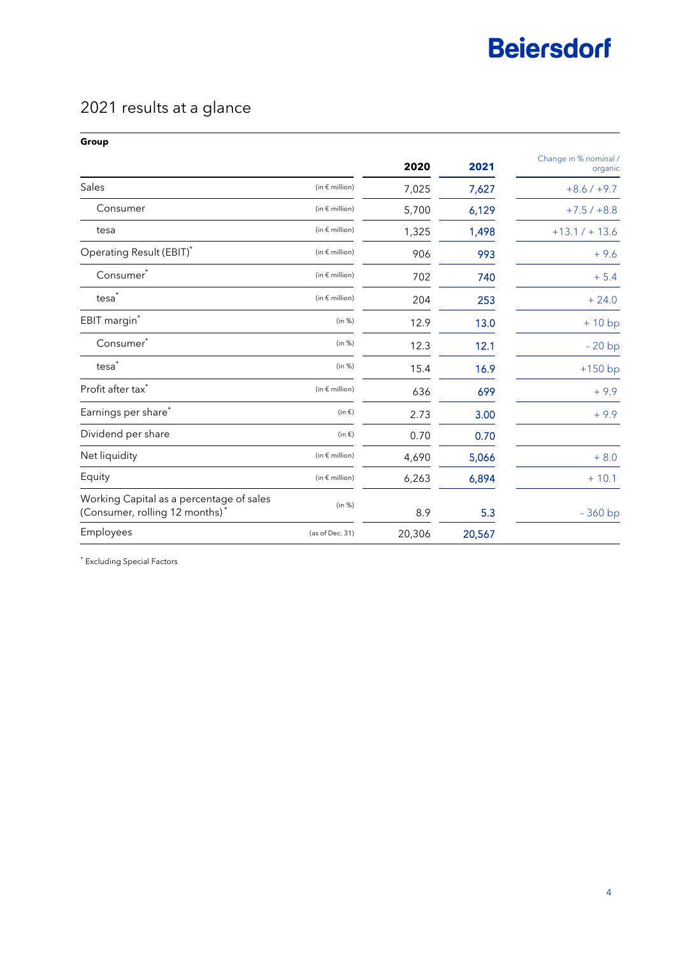### 2021 results at a glance

| Group                                                                                  |                       |        |        |                                  |
|----------------------------------------------------------------------------------------|-----------------------|--------|--------|----------------------------------|
|                                                                                        |                       | 2020   | 2021   | Change in % nominal /<br>organic |
| Sales                                                                                  | (in $\notin$ million) | 7,025  | 7,627  | $+8.6 / +9.7$                    |
| Consumer                                                                               | (in $\notin$ million) | 5,700  | 6,129  | $+7.5 / +8.8$                    |
| tesa                                                                                   | (in $\notin$ million) | 1,325  | 1,498  | $+13.1 / + 13.6$                 |
| Operating Result (EBIT)*                                                               | (in $\notin$ million) | 906    | 993    | $+9.6$                           |
| Consumer <sup>*</sup>                                                                  | (in $\notin$ million) | 702    | 740    | $+5.4$                           |
| tesa <sup>*</sup>                                                                      | (in $\notin$ million) | 204    | 253    | $+24.0$                          |
| EBIT margin <sup>*</sup>                                                               | (in %)                | 12.9   | 13.0   | $+10bp$                          |
| Consumer <sup>*</sup>                                                                  | (in %)                | 12.3   | 12.1   | $-20bp$                          |
| tesa <sup>*</sup>                                                                      | (in %)                | 15.4   | 16.9   | $+150$ bp                        |
| Profit after tax*                                                                      | (in $\notin$ million) | 636    | 699    | $+9.9$                           |
| Earnings per share*                                                                    | (in $\xi$ )           | 2.73   | 3.00   | $+9.9$                           |
| Dividend per share                                                                     | (in $\xi$ )           | 0.70   | 0.70   |                                  |
| Net liquidity                                                                          | (in $\notin$ million) | 4,690  | 5,066  | $+8.0$                           |
| Equity                                                                                 | (in $\notin$ million) | 6,263  | 6,894  | $+10.1$                          |
| Working Capital as a percentage of sales<br>(Consumer, rolling 12 months) <sup>*</sup> | (in %)                | 8.9    | 5.3    | $-360bp$                         |
| Employees                                                                              | (as of Dec. 31)       | 20,306 | 20,567 |                                  |

\* Excluding Special Factors